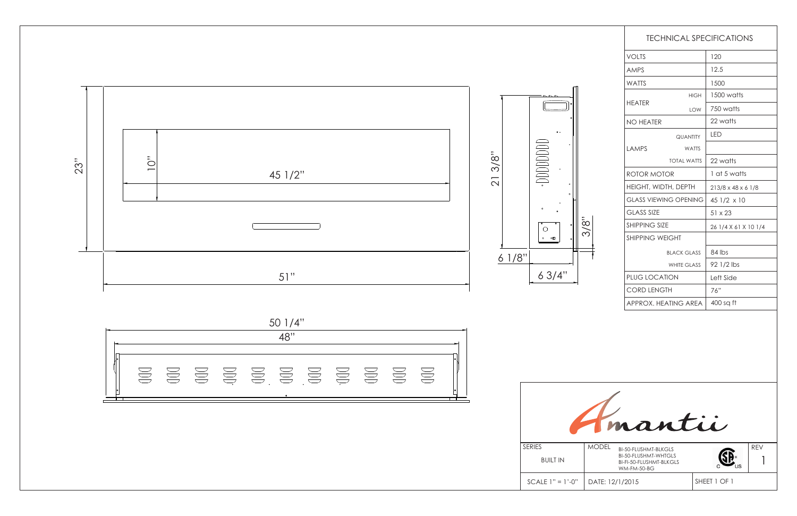| <b>TECHNICAL SPECIFICATIONS</b> |                    |                      |  |
|---------------------------------|--------------------|----------------------|--|
| <b>VOLTS</b>                    |                    | 120                  |  |
| <b>AMPS</b>                     |                    | 12.5                 |  |
| <b>WATTS</b>                    |                    | 1500                 |  |
| <b>HEATER</b>                   | <b>HIGH</b>        | 1500 watts           |  |
|                                 | LOW                | 750 watts            |  |
| <b>NO HEATER</b>                |                    | 22 watts             |  |
| LAMPS                           | <b>QUANTITY</b>    | LED                  |  |
|                                 | <b>WATTS</b>       |                      |  |
|                                 | <b>TOTAL WATTS</b> | 22 watts             |  |
| ROTOR MOTOR                     |                    | 1 at 5 watts         |  |
| HEIGHT, WIDTH, DEPTH            |                    | 213/8 x 48 x 6 1/8   |  |
| <b>GLASS VIEWING OPENING</b>    |                    | 45 1/2 x 10          |  |
| <b>GLASS SIZE</b>               |                    | $51 \times 23$       |  |
| <b>SHIPPING SIZE</b>            |                    | 26 1/4 X 61 X 10 1/4 |  |
| <b>SHIPPING WEIGHT</b>          |                    |                      |  |
| <b>BLACK GLASS</b>              |                    | 84 lbs               |  |
| <b>WHITE GLASS</b>              |                    | 92 1/2 lbs           |  |
| PLUG LOCATION                   |                    | Left Side            |  |
| <b>CORD LENGTH</b>              |                    | 76"                  |  |
| APPROX, HFATING ARFA            |                    | 400 sq ft            |  |



3/8"



 $\alpha$  .